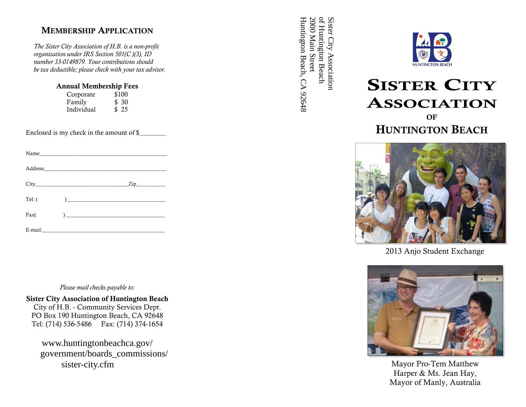### MEMBERSHIP APPLICATION

 *The Sister City Association of H.B. is a non-profit organization under IRS Section 501(C )(3), ID number 33-0149879. Your contributions should be tax deductible; please check with your tax advisor.*

| <b>Annual Membership Fees</b> |       |  |
|-------------------------------|-------|--|
| Corporate                     | \$100 |  |

| $\sim$ - $\sim$ - $\sim$ | ັ້    |
|--------------------------|-------|
| Family                   | \$ 30 |
| Individual               | \$25  |

Enclosed is my check in the amount of \$\_

|        | Name $\qquad \qquad$                                |                          |
|--------|-----------------------------------------------------|--------------------------|
|        |                                                     |                          |
|        |                                                     | $\frac{2ip}{\sqrt{2ip}}$ |
| Tel: ( | $\overline{a}$                                      |                          |
| Fax(   | ) and the contract of the contract of $\mathcal{L}$ |                          |

E-mail:

*Please mail checks payable to:* 

#### Sister City Association of Huntington Beach

City of H.B. - Community Services Dept. PO Box 190 Huntington Beach, CA 92648 Tel: (714) 536-5486 Fax: (714) 374-1654

www.huntingtonbeachca.gov/ government/boards\_commissions/ sister-city.cfm

Huntington Beach, CA 92648 Huntington Beach, CA 92648 2000 Main Street 2000 Main Street of Huntington Beach of Huntington Beach Sister City Association Sister City Association



# SISTER CITY ASSOCIATION

# OFHUNTINGTON BEACH



2013 Anjo Student Exchange



Mayor Pro-Tem Matthew Harper & Ms. Jean Hay, Mayor of Manly, Australia